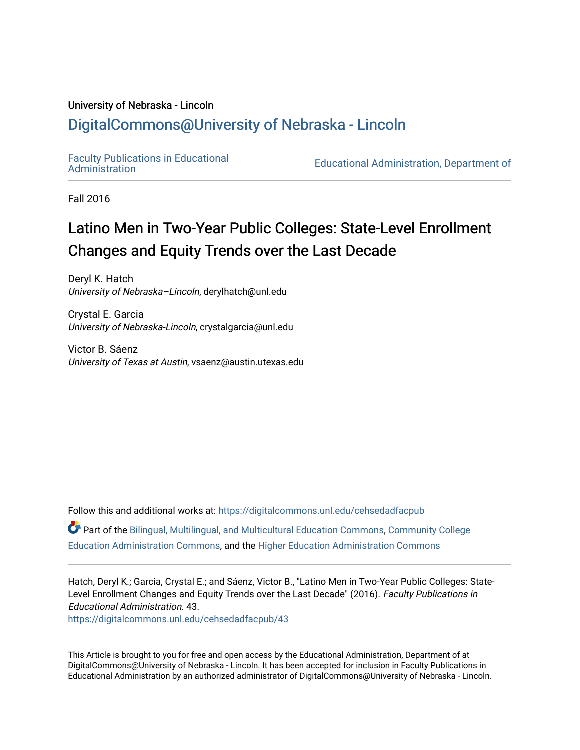### University of Nebraska - Lincoln [DigitalCommons@University of Nebraska - Lincoln](https://digitalcommons.unl.edu/)

[Faculty Publications in Educational](https://digitalcommons.unl.edu/cehsedadfacpub) 

Educational Administration, Department of

Fall 2016

## Latino Men in Two-Year Public Colleges: State-Level Enrollment Changes and Equity Trends over the Last Decade

Deryl K. Hatch University of Nebraska–Lincoln, derylhatch@unl.edu

Crystal E. Garcia University of Nebraska-Lincoln, crystalgarcia@unl.edu

Victor B. Sáenz University of Texas at Austin, vsaenz@austin.utexas.edu

Follow this and additional works at: [https://digitalcommons.unl.edu/cehsedadfacpub](https://digitalcommons.unl.edu/cehsedadfacpub?utm_source=digitalcommons.unl.edu%2Fcehsedadfacpub%2F43&utm_medium=PDF&utm_campaign=PDFCoverPages)  Part of the [Bilingual, Multilingual, and Multicultural Education Commons,](http://network.bepress.com/hgg/discipline/785?utm_source=digitalcommons.unl.edu%2Fcehsedadfacpub%2F43&utm_medium=PDF&utm_campaign=PDFCoverPages) [Community College](http://network.bepress.com/hgg/discipline/792?utm_source=digitalcommons.unl.edu%2Fcehsedadfacpub%2F43&utm_medium=PDF&utm_campaign=PDFCoverPages)  [Education Administration Commons,](http://network.bepress.com/hgg/discipline/792?utm_source=digitalcommons.unl.edu%2Fcehsedadfacpub%2F43&utm_medium=PDF&utm_campaign=PDFCoverPages) and the [Higher Education Administration Commons](http://network.bepress.com/hgg/discipline/791?utm_source=digitalcommons.unl.edu%2Fcehsedadfacpub%2F43&utm_medium=PDF&utm_campaign=PDFCoverPages)

Hatch, Deryl K.; Garcia, Crystal E.; and Sáenz, Victor B., "Latino Men in Two-Year Public Colleges: State-Level Enrollment Changes and Equity Trends over the Last Decade" (2016). Faculty Publications in Educational Administration. 43.

[https://digitalcommons.unl.edu/cehsedadfacpub/43](https://digitalcommons.unl.edu/cehsedadfacpub/43?utm_source=digitalcommons.unl.edu%2Fcehsedadfacpub%2F43&utm_medium=PDF&utm_campaign=PDFCoverPages) 

This Article is brought to you for free and open access by the Educational Administration, Department of at DigitalCommons@University of Nebraska - Lincoln. It has been accepted for inclusion in Faculty Publications in Educational Administration by an authorized administrator of DigitalCommons@University of Nebraska - Lincoln.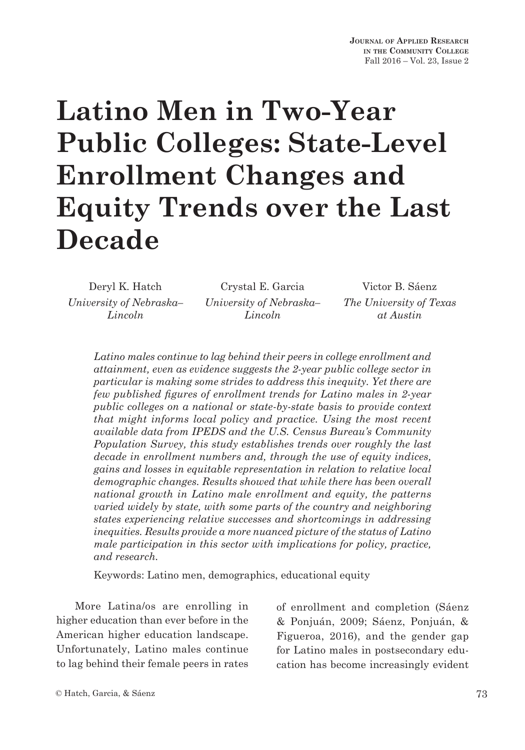# **Latino Men in Two-Year Public Colleges: State-Level Enrollment Changes and Equity Trends over the Last Decade**

*University of Nebraska– Lincoln*

Deryl K. Hatch Crystal E. Garcia Victor B. Sáenz *University of Nebraska– Lincoln*

*The University of Texas at Austin*

*Latino males continue to lag behind their peers in college enrollment and attainment, even as evidence suggests the 2-year public college sector in particular is making some strides to address this inequity. Yet there are few published figures of enrollment trends for Latino males in 2-year public colleges on a national or state-by-state basis to provide context that might informs local policy and practice. Using the most recent available data from IPEDS and the U.S. Census Bureau's Community Population Survey, this study establishes trends over roughly the last decade in enrollment numbers and, through the use of equity indices, gains and losses in equitable representation in relation to relative local demographic changes. Results showed that while there has been overall national growth in Latino male enrollment and equity, the patterns varied widely by state, with some parts of the country and neighboring states experiencing relative successes and shortcomings in addressing inequities. Results provide a more nuanced picture of the status of Latino male participation in this sector with implications for policy, practice, and research.*

Keywords: Latino men, demographics, educational equity

More Latina/os are enrolling in higher education than ever before in the American higher education landscape. Unfortunately, Latino males continue to lag behind their female peers in rates

of enrollment and completion (Sáenz & Ponjuán, 2009; Sáenz, Ponjuán, & Figueroa, 2016), and the gender gap for Latino males in postsecondary education has become increasingly evident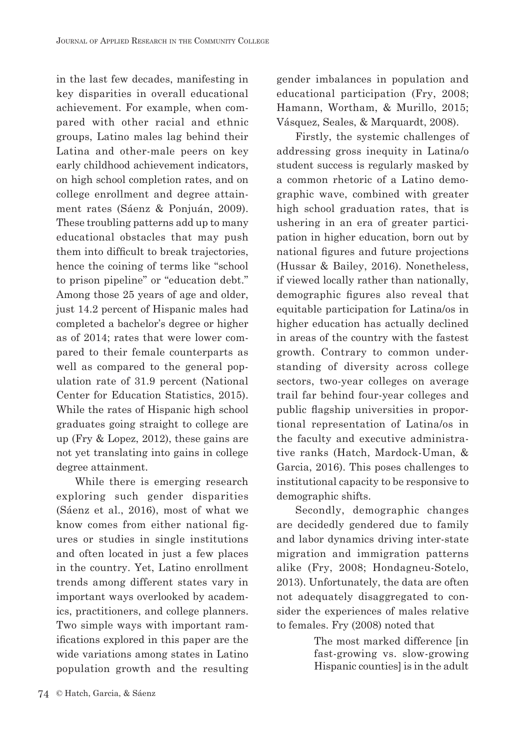in the last few decades, manifesting in key disparities in overall educational achievement. For example, when compared with other racial and ethnic groups, Latino males lag behind their Latina and other-male peers on key early childhood achievement indicators, on high school completion rates, and on college enrollment and degree attainment rates (Sáenz & Ponjuán, 2009). These troubling patterns add up to many educational obstacles that may push them into difficult to break trajectories, hence the coining of terms like "school to prison pipeline" or "education debt." Among those 25 years of age and older, just 14.2 percent of Hispanic males had completed a bachelor's degree or higher as of 2014; rates that were lower compared to their female counterparts as well as compared to the general population rate of 31.9 percent (National Center for Education Statistics, 2015). While the rates of Hispanic high school graduates going straight to college are up (Fry & Lopez, 2012), these gains are not yet translating into gains in college degree attainment.

While there is emerging research exploring such gender disparities (Sáenz et al., 2016), most of what we know comes from either national figures or studies in single institutions and often located in just a few places in the country. Yet, Latino enrollment trends among different states vary in important ways overlooked by academics, practitioners, and college planners. Two simple ways with important ramifications explored in this paper are the wide variations among states in Latino population growth and the resulting gender imbalances in population and educational participation (Fry, 2008; Hamann, Wortham, & Murillo, 2015; Vásquez, Seales, & Marquardt, 2008).

Firstly, the systemic challenges of addressing gross inequity in Latina/o student success is regularly masked by a common rhetoric of a Latino demographic wave, combined with greater high school graduation rates, that is ushering in an era of greater participation in higher education, born out by national figures and future projections (Hussar & Bailey, 2016). Nonetheless, if viewed locally rather than nationally, demographic figures also reveal that equitable participation for Latina/os in higher education has actually declined in areas of the country with the fastest growth. Contrary to common understanding of diversity across college sectors, two-year colleges on average trail far behind four-year colleges and public flagship universities in proportional representation of Latina/os in the faculty and executive administrative ranks (Hatch, Mardock-Uman, & Garcia, 2016). This poses challenges to institutional capacity to be responsive to demographic shifts.

Secondly, demographic changes are decidedly gendered due to family and labor dynamics driving inter-state migration and immigration patterns alike (Fry, 2008; Hondagneu-Sotelo, 2013). Unfortunately, the data are often not adequately disaggregated to consider the experiences of males relative to females. Fry (2008) noted that

> The most marked difference [in fast-growing vs. slow-growing Hispanic counties] is in the adult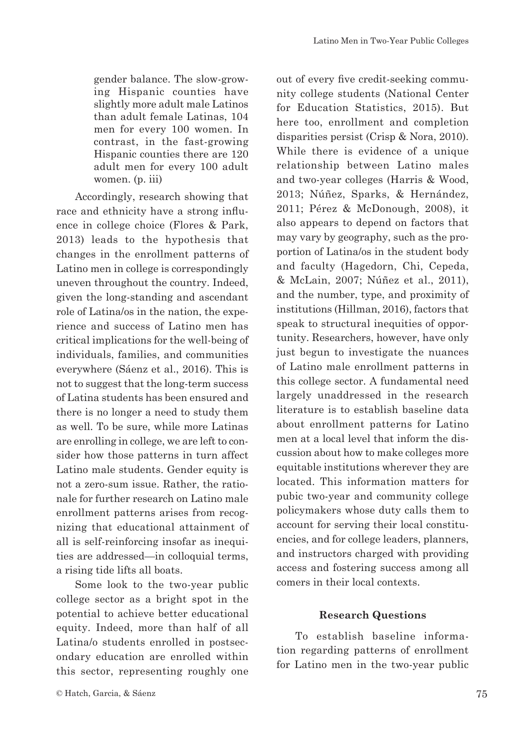gender balance. The slow-growing Hispanic counties have slightly more adult male Latinos than adult female Latinas, 104 men for every 100 women. In contrast, in the fast-growing Hispanic counties there are 120 adult men for every 100 adult women. (p. iii)

Accordingly, research showing that race and ethnicity have a strong influence in college choice (Flores & Park, 2013) leads to the hypothesis that changes in the enrollment patterns of Latino men in college is correspondingly uneven throughout the country. Indeed, given the long-standing and ascendant role of Latina/os in the nation, the experience and success of Latino men has critical implications for the well-being of individuals, families, and communities everywhere (Sáenz et al., 2016). This is not to suggest that the long-term success of Latina students has been ensured and there is no longer a need to study them as well. To be sure, while more Latinas are enrolling in college, we are left to consider how those patterns in turn affect Latino male students. Gender equity is not a zero-sum issue. Rather, the rationale for further research on Latino male enrollment patterns arises from recognizing that educational attainment of all is self-reinforcing insofar as inequities are addressed—in colloquial terms, a rising tide lifts all boats.

Some look to the two-year public college sector as a bright spot in the potential to achieve better educational equity. Indeed, more than half of all Latina/o students enrolled in postsecondary education are enrolled within this sector, representing roughly one out of every five credit-seeking community college students (National Center for Education Statistics, 2015). But here too, enrollment and completion disparities persist (Crisp & Nora, 2010). While there is evidence of a unique relationship between Latino males and two-year colleges (Harris & Wood, 2013; Núñez, Sparks, & Hernández, 2011; Pérez & McDonough, 2008), it also appears to depend on factors that may vary by geography, such as the proportion of Latina/os in the student body and faculty (Hagedorn, Chi, Cepeda, & McLain, 2007; Núñez et al., 2011), and the number, type, and proximity of institutions (Hillman, 2016), factors that speak to structural inequities of opportunity. Researchers, however, have only just begun to investigate the nuances of Latino male enrollment patterns in this college sector. A fundamental need largely unaddressed in the research literature is to establish baseline data about enrollment patterns for Latino men at a local level that inform the discussion about how to make colleges more equitable institutions wherever they are located. This information matters for pubic two-year and community college policymakers whose duty calls them to account for serving their local constituencies, and for college leaders, planners, and instructors charged with providing access and fostering success among all comers in their local contexts.

#### **Research Questions**

To establish baseline information regarding patterns of enrollment for Latino men in the two-year public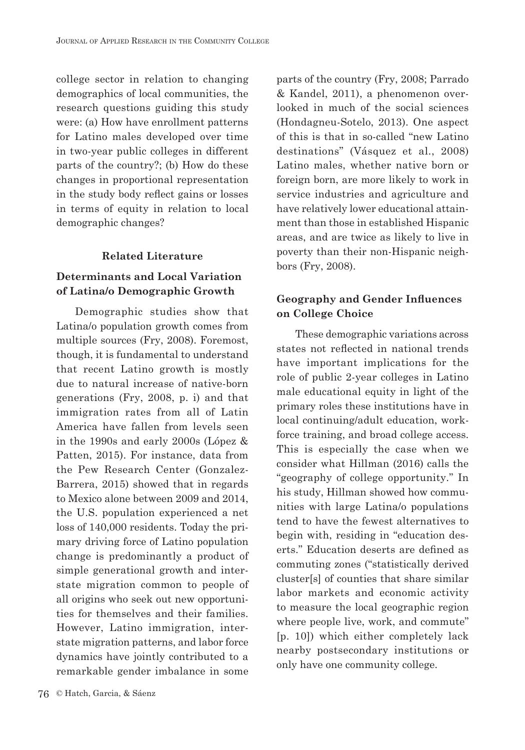college sector in relation to changing demographics of local communities, the research questions guiding this study were: (a) How have enrollment patterns for Latino males developed over time in two-year public colleges in different parts of the country?; (b) How do these changes in proportional representation in the study body reflect gains or losses in terms of equity in relation to local demographic changes?

#### **Related Literature**

#### **Determinants and Local Variation of Latina/o Demographic Growth**

Demographic studies show that Latina/o population growth comes from multiple sources (Fry, 2008). Foremost, though, it is fundamental to understand that recent Latino growth is mostly due to natural increase of native-born generations (Fry, 2008, p. i) and that immigration rates from all of Latin America have fallen from levels seen in the 1990s and early 2000s (López & Patten, 2015). For instance, data from the Pew Research Center (Gonzalez-Barrera, 2015) showed that in regards to Mexico alone between 2009 and 2014, the U.S. population experienced a net loss of 140,000 residents. Today the primary driving force of Latino population change is predominantly a product of simple generational growth and interstate migration common to people of all origins who seek out new opportunities for themselves and their families. However, Latino immigration, interstate migration patterns, and labor force dynamics have jointly contributed to a remarkable gender imbalance in some

parts of the country (Fry, 2008; Parrado & Kandel, 2011), a phenomenon overlooked in much of the social sciences (Hondagneu-Sotelo, 2013). One aspect of this is that in so-called "new Latino destinations" (Vásquez et al., 2008) Latino males, whether native born or foreign born, are more likely to work in service industries and agriculture and have relatively lower educational attainment than those in established Hispanic areas, and are twice as likely to live in poverty than their non-Hispanic neighbors (Fry, 2008).

#### **Geography and Gender Influences on College Choice**

These demographic variations across states not reflected in national trends have important implications for the role of public 2-year colleges in Latino male educational equity in light of the primary roles these institutions have in local continuing/adult education, workforce training, and broad college access. This is especially the case when we consider what Hillman (2016) calls the "geography of college opportunity." In his study, Hillman showed how communities with large Latina/o populations tend to have the fewest alternatives to begin with, residing in "education deserts." Education deserts are defined as commuting zones ("statistically derived cluster[s] of counties that share similar labor markets and economic activity to measure the local geographic region where people live, work, and commute" [p. 10]) which either completely lack nearby postsecondary institutions or only have one community college.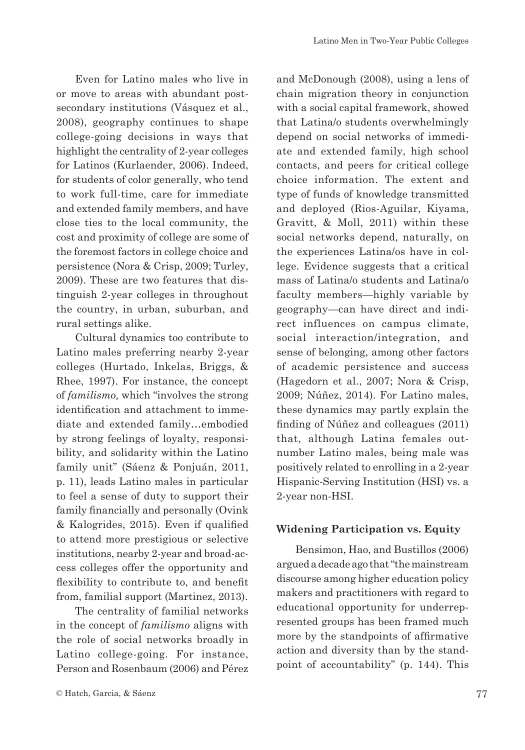Even for Latino males who live in or move to areas with abundant postsecondary institutions (Vásquez et al., 2008), geography continues to shape college-going decisions in ways that highlight the centrality of 2-year colleges for Latinos (Kurlaender, 2006). Indeed, for students of color generally, who tend to work full-time, care for immediate and extended family members, and have close ties to the local community, the cost and proximity of college are some of the foremost factors in college choice and persistence (Nora & Crisp, 2009; Turley, 2009). These are two features that distinguish 2-year colleges in throughout the country, in urban, suburban, and rural settings alike.

Cultural dynamics too contribute to Latino males preferring nearby 2-year colleges (Hurtado, Inkelas, Briggs, & Rhee, 1997). For instance, the concept of *familismo,* which "involves the strong identification and attachment to immediate and extended family…embodied by strong feelings of loyalty, responsibility, and solidarity within the Latino family unit" (Sáenz & Ponjuán, 2011, p. 11), leads Latino males in particular to feel a sense of duty to support their family financially and personally (Ovink & Kalogrides, 2015). Even if qualified to attend more prestigious or selective institutions, nearby 2-year and broad-access colleges offer the opportunity and flexibility to contribute to, and benefit from, familial support (Martinez, 2013).

The centrality of familial networks in the concept of *familismo* aligns with the role of social networks broadly in Latino college-going. For instance, Person and Rosenbaum (2006) and Pérez and McDonough (2008), using a lens of chain migration theory in conjunction with a social capital framework, showed that Latina/o students overwhelmingly depend on social networks of immediate and extended family, high school contacts, and peers for critical college choice information. The extent and type of funds of knowledge transmitted and deployed (Rios-Aguilar, Kiyama, Gravitt, & Moll, 2011) within these social networks depend, naturally, on the experiences Latina/os have in college. Evidence suggests that a critical mass of Latina/o students and Latina/o faculty members—highly variable by geography—can have direct and indirect influences on campus climate, social interaction/integration, and sense of belonging, among other factors of academic persistence and success (Hagedorn et al., 2007; Nora & Crisp, 2009; Núñez, 2014). For Latino males, these dynamics may partly explain the finding of Núñez and colleagues (2011) that, although Latina females outnumber Latino males, being male was positively related to enrolling in a 2-year Hispanic-Serving Institution (HSI) vs. a 2-year non-HSI.

#### **Widening Participation vs. Equity**

Bensimon, Hao, and Bustillos (2006) argued a decade ago that "the mainstream discourse among higher education policy makers and practitioners with regard to educational opportunity for underrepresented groups has been framed much more by the standpoints of affirmative action and diversity than by the standpoint of accountability" (p. 144). This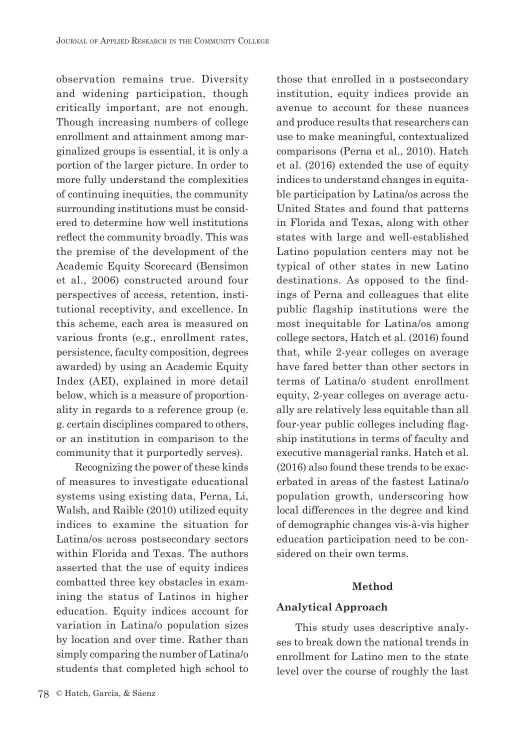observation remains true. Diversity and widening participation, though critically important, are not enough. Though increasing numbers of college enrollment and attainment among marginalized groups is essential, it is only a portion of the larger picture. In order to more fully understand the complexities of continuing inequities, the community surrounding institutions must be considered to determine how well institutions reflect the community broadly. This was the premise of the development of the Academic Equity Scorecard (Bensimon et al., 2006) constructed around four perspectives of access, retention, institutional receptivity, and excellence. In this scheme, each area is measured on various fronts (e.g., enrollment rates, persistence, faculty composition, degrees awarded) by using an Academic Equity Index (AEI), explained in more detail below, which is a measure of proportionality in regards to a reference group (e. g. certain disciplines compared to others, or an institution in comparison to the community that it purportedly serves).

Recognizing the power of these kinds of measures to investigate educational systems using existing data, Perna, Li, Walsh, and Raible (2010) utilized equity indices to examine the situation for Latina/os across postsecondary sectors within Florida and Texas. The authors asserted that the use of equity indices combatted three key obstacles in examining the status of Latinos in higher education. Equity indices account for variation in Latina/o population sizes by location and over time. Rather than simply comparing the number of Latina/o students that completed high school to

those that enrolled in a postsecondary institution, equity indices provide an avenue to account for these nuances and produce results that researchers can use to make meaningful, contextualized comparisons (Perna et al., 2010). Hatch et al. (2016) extended the use of equity indices to understand changes in equitable participation by Latina/os across the United States and found that patterns in Florida and Texas, along with other states with large and well-established Latino population centers may not be typical of other states in new Latino destinations. As opposed to the findings of Perna and colleagues that elite public flagship institutions were the most inequitable for Latina/os among college sectors, Hatch et al. (2016) found that, while 2-year colleges on average have fared better than other sectors in terms of Latina/o student enrollment equity, 2-year colleges on average actually are relatively less equitable than all four-year public colleges including flagship institutions in terms of faculty and executive managerial ranks. Hatch et al. (2016) also found these trends to be exacerbated in areas of the fastest Latina/o population growth, underscoring how local differences in the degree and kind of demographic changes vis-à-vis higher education participation need to be considered on their own terms.

#### **Method**

#### **Analytical Approach**

This study uses descriptive analyses to break down the national trends in enrollment for Latino men to the state level over the course of roughly the last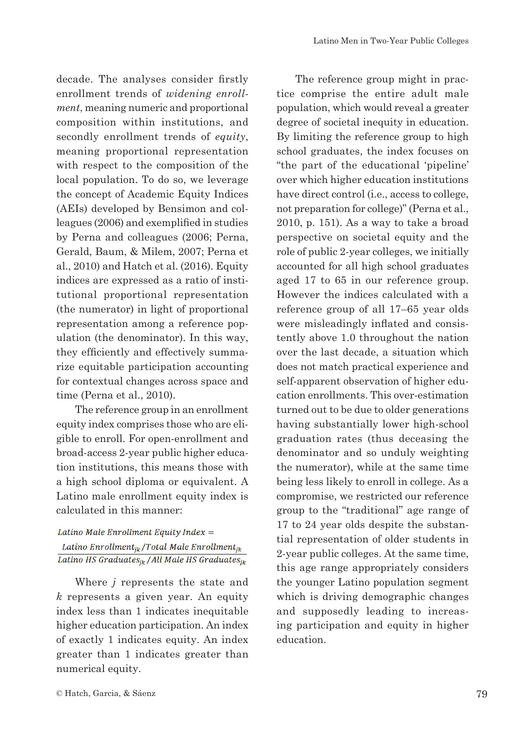decade. The analyses consider firstly enrollment trends of *widening enrollment*, meaning numeric and proportional composition within institutions, and secondly enrollment trends of *equity*, meaning proportional representation with respect to the composition of the local population. To do so, we leverage the concept of Academic Equity Indices (AEIs) developed by Bensimon and colleagues (2006) and exemplified in studies by Perna and colleagues (2006; Perna, Gerald, Baum, & Milem, 2007; Perna et al., 2010) and Hatch et al. (2016). Equity indices are expressed as a ratio of institutional proportional representation (the numerator) in light of proportional representation among a reference population (the denominator). In this way, they efficiently and effectively summarize equitable participation accounting for contextual changes across space and time (Perna et al., 2010).

The reference group in an enrollment equity index comprises those who are eligible to enroll. For open-enrollment and broad-access 2-year public higher education institutions, this means those with a high school diploma or equivalent. A Latino male enrollment equity index is calculated in this manner:

#### Latino Male Enrollment Equity Index = Latino Enrollment $_{jk}$ /Total Male Enrollment $_{jk}$ Latino HS Graduates<sub>ik</sub> / All Male HS Graduates<sub>ik</sub>

Where *j* represents the state and *k* represents a given year. An equity index less than 1 indicates inequitable higher education participation. An index of exactly 1 indicates equity. An index greater than 1 indicates greater than numerical equity.

The reference group might in practice comprise the entire adult male population, which would reveal a greater degree of societal inequity in education. By limiting the reference group to high school graduates, the index focuses on "the part of the educational 'pipeline' over which higher education institutions have direct control (i.e., access to college, not preparation for college)" (Perna et al., 2010, p. 151). As a way to take a broad perspective on societal equity and the role of public 2-year colleges, we initially accounted for all high school graduates aged 17 to 65 in our reference group. However the indices calculated with a reference group of all 17–65 year olds were misleadingly inflated and consistently above 1.0 throughout the nation over the last decade, a situation which does not match practical experience and self-apparent observation of higher education enrollments. This over-estimation turned out to be due to older generations having substantially lower high-school graduation rates (thus deceasing the denominator and so unduly weighting the numerator), while at the same time being less likely to enroll in college. As a compromise, we restricted our reference group to the "traditional" age range of 17 to 24 year olds despite the substantial representation of older students in 2-year public colleges. At the same time, this age range appropriately considers the younger Latino population segment which is driving demographic changes and supposedly leading to increasing participation and equity in higher education.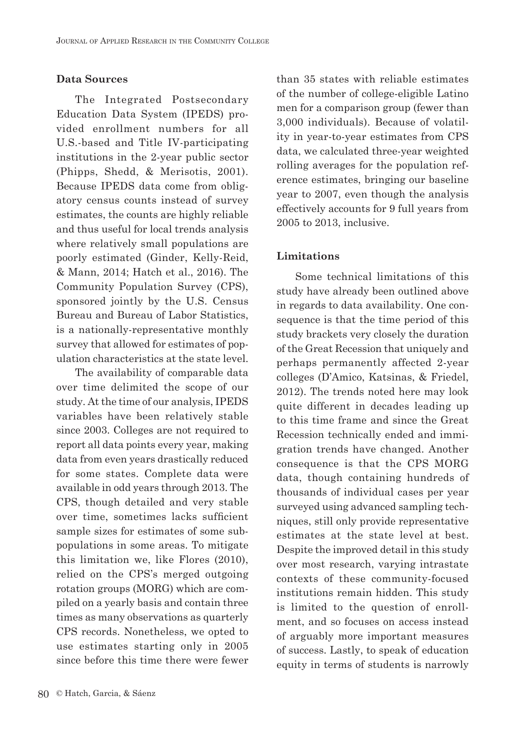#### **Data Sources**

The Integrated Postsecondary Education Data System (IPEDS) provided enrollment numbers for all U.S.-based and Title IV-participating institutions in the 2-year public sector (Phipps, Shedd, & Merisotis, 2001). Because IPEDS data come from obligatory census counts instead of survey estimates, the counts are highly reliable and thus useful for local trends analysis where relatively small populations are poorly estimated (Ginder, Kelly-Reid, & Mann, 2014; Hatch et al., 2016). The Community Population Survey (CPS), sponsored jointly by the U.S. Census Bureau and Bureau of Labor Statistics, is a nationally-representative monthly survey that allowed for estimates of population characteristics at the state level.

The availability of comparable data over time delimited the scope of our study. At the time of our analysis, IPEDS variables have been relatively stable since 2003. Colleges are not required to report all data points every year, making data from even years drastically reduced for some states. Complete data were available in odd years through 2013. The CPS, though detailed and very stable over time, sometimes lacks sufficient sample sizes for estimates of some subpopulations in some areas. To mitigate this limitation we, like Flores (2010), relied on the CPS's merged outgoing rotation groups (MORG) which are compiled on a yearly basis and contain three times as many observations as quarterly CPS records. Nonetheless, we opted to use estimates starting only in 2005 since before this time there were fewer than 35 states with reliable estimates of the number of college-eligible Latino men for a comparison group (fewer than 3,000 individuals). Because of volatility in year-to-year estimates from CPS data, we calculated three-year weighted rolling averages for the population reference estimates, bringing our baseline year to 2007, even though the analysis effectively accounts for 9 full years from 2005 to 2013, inclusive.

#### **Limitations**

Some technical limitations of this study have already been outlined above in regards to data availability. One consequence is that the time period of this study brackets very closely the duration of the Great Recession that uniquely and perhaps permanently affected 2-year colleges (D'Amico, Katsinas, & Friedel, 2012). The trends noted here may look quite different in decades leading up to this time frame and since the Great Recession technically ended and immigration trends have changed. Another consequence is that the CPS MORG data, though containing hundreds of thousands of individual cases per year surveyed using advanced sampling techniques, still only provide representative estimates at the state level at best. Despite the improved detail in this study over most research, varying intrastate contexts of these community-focused institutions remain hidden. This study is limited to the question of enrollment, and so focuses on access instead of arguably more important measures of success. Lastly, to speak of education equity in terms of students is narrowly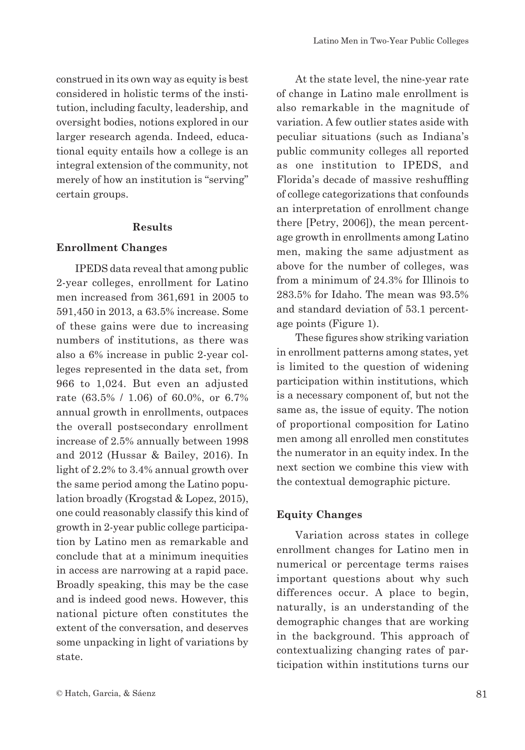construed in its own way as equity is best considered in holistic terms of the institution, including faculty, leadership, and oversight bodies, notions explored in our larger research agenda. Indeed, educational equity entails how a college is an integral extension of the community, not merely of how an institution is "serving" certain groups.

#### **Results**

#### **Enrollment Changes**

IPEDS data reveal that among public 2-year colleges, enrollment for Latino men increased from 361,691 in 2005 to 591,450 in 2013, a 63.5% increase. Some of these gains were due to increasing numbers of institutions, as there was also a 6% increase in public 2-year colleges represented in the data set, from 966 to 1,024. But even an adjusted rate (63.5% / 1.06) of 60.0%, or 6.7% annual growth in enrollments, outpaces the overall postsecondary enrollment increase of 2.5% annually between 1998 and 2012 (Hussar & Bailey, 2016). In light of 2.2% to 3.4% annual growth over the same period among the Latino population broadly (Krogstad & Lopez, 2015), one could reasonably classify this kind of growth in 2-year public college participation by Latino men as remarkable and conclude that at a minimum inequities in access are narrowing at a rapid pace. Broadly speaking, this may be the case and is indeed good news. However, this national picture often constitutes the extent of the conversation, and deserves some unpacking in light of variations by state.

At the state level, the nine-year rate of change in Latino male enrollment is also remarkable in the magnitude of variation. A few outlier states aside with peculiar situations (such as Indiana's public community colleges all reported as one institution to IPEDS, and Florida's decade of massive reshuffling of college categorizations that confounds an interpretation of enrollment change there [Petry, 2006]), the mean percentage growth in enrollments among Latino men, making the same adjustment as above for the number of colleges, was from a minimum of 24.3% for Illinois to 283.5% for Idaho. The mean was 93.5% and standard deviation of 53.1 percentage points (Figure 1).

These figures show striking variation in enrollment patterns among states, yet is limited to the question of widening participation within institutions, which is a necessary component of, but not the same as, the issue of equity. The notion of proportional composition for Latino men among all enrolled men constitutes the numerator in an equity index. In the next section we combine this view with the contextual demographic picture.

#### **Equity Changes**

Variation across states in college enrollment changes for Latino men in numerical or percentage terms raises important questions about why such differences occur. A place to begin, naturally, is an understanding of the demographic changes that are working in the background. This approach of contextualizing changing rates of participation within institutions turns our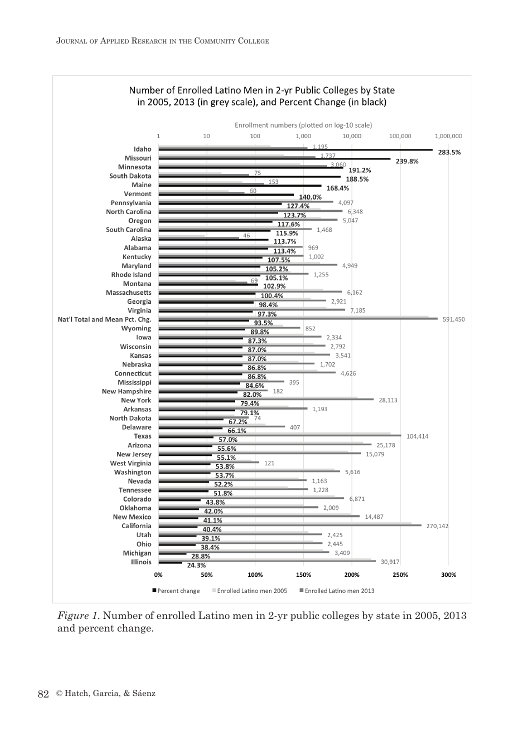

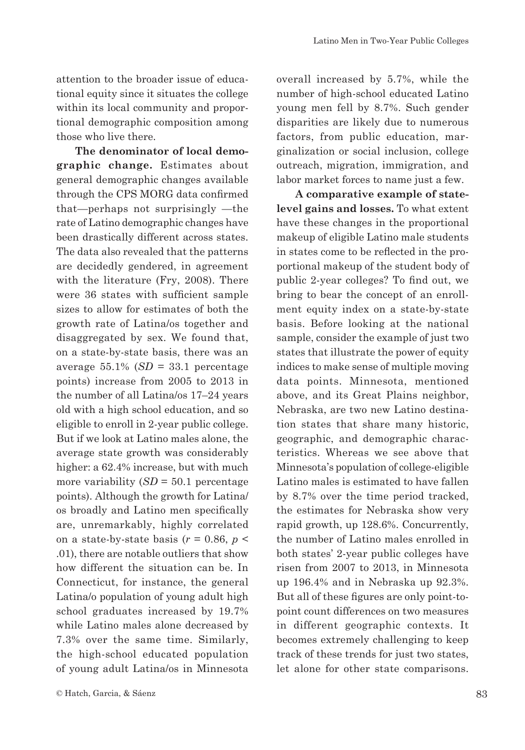attention to the broader issue of educational equity since it situates the college within its local community and proportional demographic composition among those who live there.

**The denominator of local demographic change.** Estimates about general demographic changes available through the CPS MORG data confirmed that—perhaps not surprisingly —the rate of Latino demographic changes have been drastically different across states. The data also revealed that the patterns are decidedly gendered, in agreement with the literature (Fry, 2008). There were 36 states with sufficient sample sizes to allow for estimates of both the growth rate of Latina/os together and disaggregated by sex. We found that, on a state-by-state basis, there was an average  $55.1\%$  (*SD* = 33.1 percentage points) increase from 2005 to 2013 in the number of all Latina/os 17–24 years old with a high school education, and so eligible to enroll in 2-year public college. But if we look at Latino males alone, the average state growth was considerably higher: a 62.4% increase, but with much more variability (*SD* = 50.1 percentage points). Although the growth for Latina/ os broadly and Latino men specifically are, unremarkably, highly correlated on a state-by-state basis ( $r = 0.86$ ,  $p <$ .01), there are notable outliers that show how different the situation can be. In Connecticut, for instance, the general Latina/o population of young adult high school graduates increased by 19.7% while Latino males alone decreased by 7.3% over the same time. Similarly, the high-school educated population of young adult Latina/os in Minnesota

overall increased by 5.7%, while the number of high-school educated Latino young men fell by 8.7%. Such gender disparities are likely due to numerous factors, from public education, marginalization or social inclusion, college outreach, migration, immigration, and labor market forces to name just a few.

**A comparative example of statelevel gains and losses.** To what extent have these changes in the proportional makeup of eligible Latino male students in states come to be reflected in the proportional makeup of the student body of public 2-year colleges? To find out, we bring to bear the concept of an enrollment equity index on a state-by-state basis. Before looking at the national sample, consider the example of just two states that illustrate the power of equity indices to make sense of multiple moving data points. Minnesota, mentioned above, and its Great Plains neighbor, Nebraska, are two new Latino destination states that share many historic, geographic, and demographic characteristics. Whereas we see above that Minnesota's population of college-eligible Latino males is estimated to have fallen by 8.7% over the time period tracked, the estimates for Nebraska show very rapid growth, up 128.6%. Concurrently, the number of Latino males enrolled in both states' 2-year public colleges have risen from 2007 to 2013, in Minnesota up 196.4% and in Nebraska up 92.3%. But all of these figures are only point-topoint count differences on two measures in different geographic contexts. It becomes extremely challenging to keep track of these trends for just two states, let alone for other state comparisons.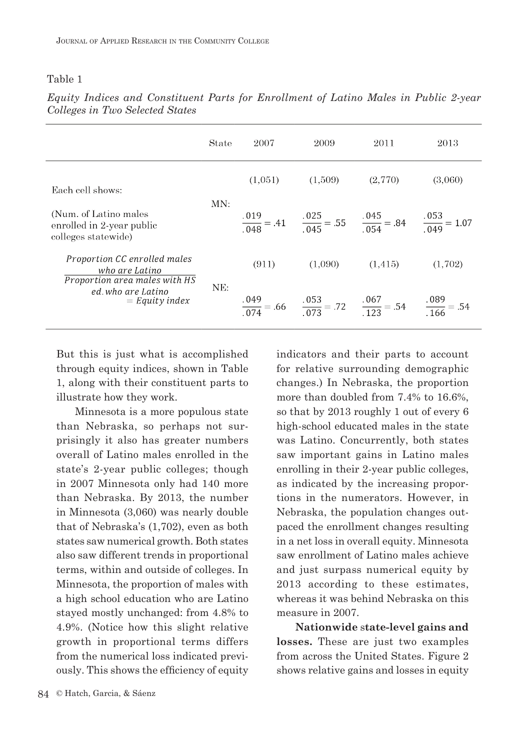#### Table 1

|                                                                                                                           | State | 2007    | 2009    | 2011                                                                                                            | 2013    |
|---------------------------------------------------------------------------------------------------------------------------|-------|---------|---------|-----------------------------------------------------------------------------------------------------------------|---------|
| Each cell shows:                                                                                                          | MN:   | (1.051) | (1.509) | (2,770)                                                                                                         | (3,060) |
| (Num. of Latino males)<br>enrolled in 2-year public<br>colleges statewide)                                                |       |         |         | $\frac{.019}{.048} = .41$ $\frac{.025}{.045} = .55$ $\frac{.045}{.054} = .84$ $\frac{.053}{.049} = 1.07$        |         |
| Proportion CC enrolled males<br>who are Latino<br>Proportion area males with HS<br>ed. who are Latino<br>$=$ Equity index | NE:   | (911)   | (1,090) | (1, 415)                                                                                                        | (1,702) |
|                                                                                                                           |       |         |         | $\frac{0.049}{0.074} = .66$ $\frac{0.053}{0.073} = .72$ $\frac{0.067}{1.023} = .54$ $\frac{0.089}{0.069} = .54$ |         |

*Equity Indices and Constituent Parts for Enrollment of Latino Males in Public 2-year Colleges in Two Selected States*

But this is just what is accomplished through equity indices, shown in Table 1, along with their constituent parts to illustrate how they work.

Minnesota is a more populous state than Nebraska, so perhaps not surprisingly it also has greater numbers overall of Latino males enrolled in the state's 2-year public colleges; though in 2007 Minnesota only had 140 more than Nebraska. By 2013, the number in Minnesota (3,060) was nearly double that of Nebraska's (1,702), even as both states saw numerical growth. Both states also saw different trends in proportional terms, within and outside of colleges. In Minnesota, the proportion of males with a high school education who are Latino stayed mostly unchanged: from 4.8% to 4.9%. (Notice how this slight relative growth in proportional terms differs from the numerical loss indicated previously. This shows the efficiency of equity

indicators and their parts to account for relative surrounding demographic changes.) In Nebraska, the proportion more than doubled from 7.4% to 16.6%, so that by 2013 roughly 1 out of every 6 high-school educated males in the state was Latino. Concurrently, both states saw important gains in Latino males enrolling in their 2-year public colleges, as indicated by the increasing proportions in the numerators. However, in Nebraska, the population changes outpaced the enrollment changes resulting in a net loss in overall equity. Minnesota saw enrollment of Latino males achieve and just surpass numerical equity by 2013 according to these estimates, whereas it was behind Nebraska on this measure in 2007.

**Nationwide** s**tate-level gains and losses.** These are just two examples from across the United States. Figure 2 shows relative gains and losses in equity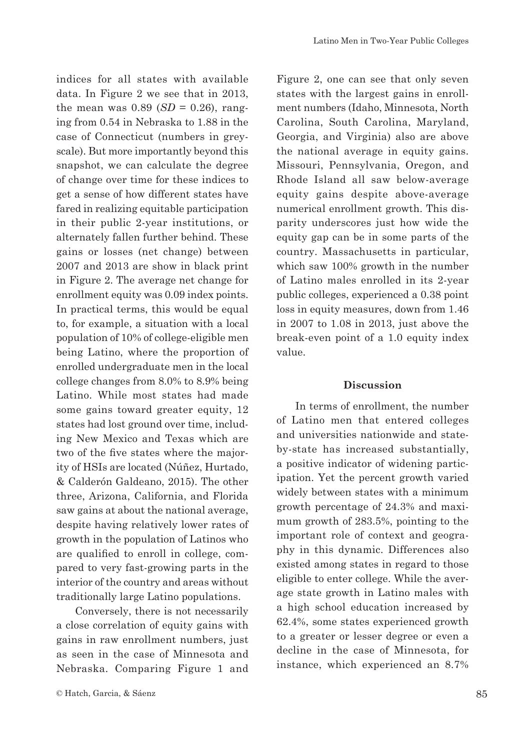indices for all states with available data. In Figure 2 we see that in 2013, the mean was  $0.89$  (*SD* = 0.26), ranging from 0.54 in Nebraska to 1.88 in the case of Connecticut (numbers in greyscale). But more importantly beyond this snapshot, we can calculate the degree of change over time for these indices to get a sense of how different states have fared in realizing equitable participation in their public 2-year institutions, or alternately fallen further behind. These gains or losses (net change) between 2007 and 2013 are show in black print in Figure 2. The average net change for enrollment equity was 0.09 index points. In practical terms, this would be equal to, for example, a situation with a local population of 10% of college-eligible men being Latino, where the proportion of enrolled undergraduate men in the local college changes from 8.0% to 8.9% being Latino. While most states had made some gains toward greater equity, 12 states had lost ground over time, including New Mexico and Texas which are two of the five states where the majority of HSIs are located (Núñez, Hurtado, & Calderón Galdeano, 2015). The other three, Arizona, California, and Florida saw gains at about the national average, despite having relatively lower rates of growth in the population of Latinos who are qualified to enroll in college, compared to very fast-growing parts in the interior of the country and areas without traditionally large Latino populations.

Conversely, there is not necessarily a close correlation of equity gains with gains in raw enrollment numbers, just as seen in the case of Minnesota and Nebraska. Comparing Figure 1 and

Figure 2, one can see that only seven states with the largest gains in enrollment numbers (Idaho, Minnesota, North Carolina, South Carolina, Maryland, Georgia, and Virginia) also are above the national average in equity gains. Missouri, Pennsylvania, Oregon, and Rhode Island all saw below-average equity gains despite above-average numerical enrollment growth. This disparity underscores just how wide the equity gap can be in some parts of the country. Massachusetts in particular, which saw 100% growth in the number of Latino males enrolled in its 2-year public colleges, experienced a 0.38 point loss in equity measures, down from 1.46 in 2007 to 1.08 in 2013, just above the break-even point of a 1.0 equity index value.

#### **Discussion**

In terms of enrollment, the number of Latino men that entered colleges and universities nationwide and stateby-state has increased substantially, a positive indicator of widening participation. Yet the percent growth varied widely between states with a minimum growth percentage of 24.3% and maximum growth of 283.5%, pointing to the important role of context and geography in this dynamic. Differences also existed among states in regard to those eligible to enter college. While the average state growth in Latino males with a high school education increased by 62.4%, some states experienced growth to a greater or lesser degree or even a decline in the case of Minnesota, for instance, which experienced an 8.7%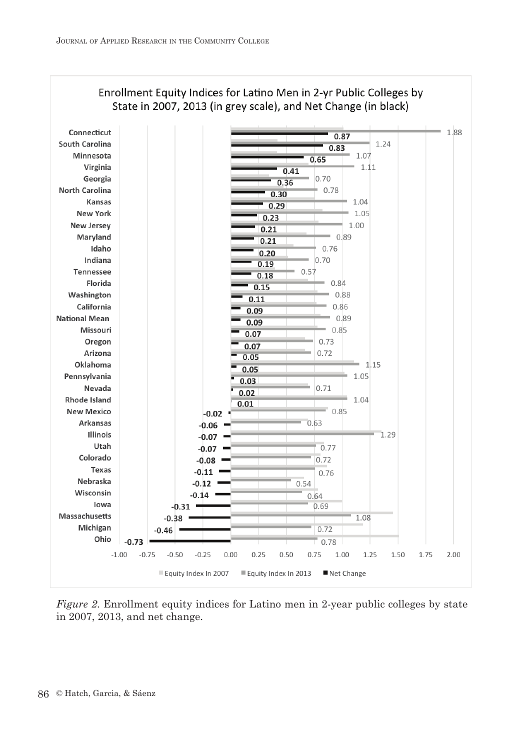

#### Enrollment Equity Indices for Latino Men in 2-yr Public Colleges by State in 2007, 2013 (in grey scale), and Net Change (in black)

*Figure 2*. Enrollment equity indices for Latino men in 2-year public colleges by state in 2007, 2013, and net change.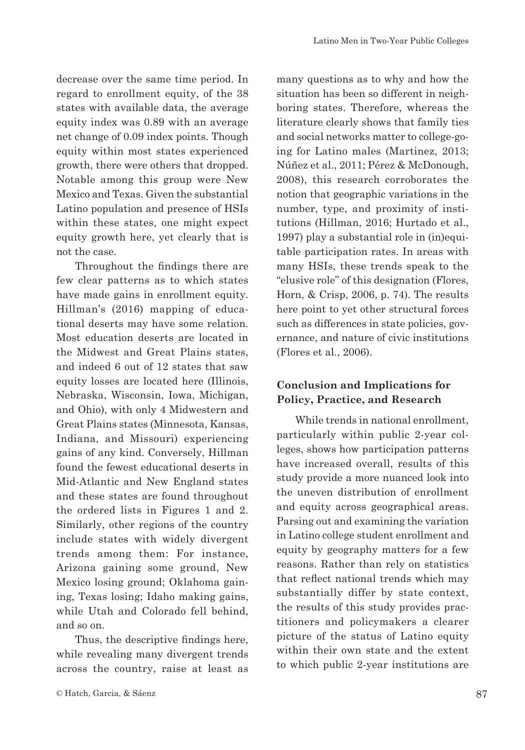decrease over the same time period. In regard to enrollment equity, of the 38 states with available data, the average equity index was 0.89 with an average net change of 0.09 index points. Though equity within most states experienced growth, there were others that dropped. Notable among this group were New Mexico and Texas. Given the substantial Latino population and presence of HSIs within these states, one might expect equity growth here, yet clearly that is not the case.

Throughout the findings there are few clear patterns as to which states have made gains in enrollment equity. Hillman's (2016) mapping of educational deserts may have some relation. Most education deserts are located in the Midwest and Great Plains states, and indeed 6 out of 12 states that saw equity losses are located here (Illinois, Nebraska, Wisconsin, Iowa, Michigan, and Ohio), with only 4 Midwestern and Great Plains states (Minnesota, Kansas, Indiana, and Missouri) experiencing gains of any kind. Conversely, Hillman found the fewest educational deserts in Mid-Atlantic and New England states and these states are found throughout the ordered lists in Figures 1 and 2. Similarly, other regions of the country include states with widely divergent trends among them: For instance, Arizona gaining some ground, New Mexico losing ground; Oklahoma gaining, Texas losing; Idaho making gains, while Utah and Colorado fell behind, and so on.

Thus, the descriptive findings here, while revealing many divergent trends across the country, raise at least as many questions as to why and how the situation has been so different in neighboring states. Therefore, whereas the literature clearly shows that family ties and social networks matter to college-going for Latino males (Martinez, 2013; Núñez et al., 2011; Pérez & McDonough, 2008), this research corroborates the notion that geographic variations in the number, type, and proximity of institutions (Hillman, 2016; Hurtado et al., 1997) play a substantial role in (in)equitable participation rates. In areas with many HSIs, these trends speak to the "elusive role" of this designation (Flores, Horn, & Crisp, 2006, p. 74). The results here point to yet other structural forces such as differences in state policies, governance, and nature of civic institutions (Flores et al., 2006).

#### **Conclusion and Implications for Policy, Practice, and Research**

While trends in national enrollment, particularly within public 2-year colleges, shows how participation patterns have increased overall, results of this study provide a more nuanced look into the uneven distribution of enrollment and equity across geographical areas. Parsing out and examining the variation in Latino college student enrollment and equity by geography matters for a few reasons. Rather than rely on statistics that reflect national trends which may substantially differ by state context, the results of this study provides practitioners and policymakers a clearer picture of the status of Latino equity within their own state and the extent to which public 2-year institutions are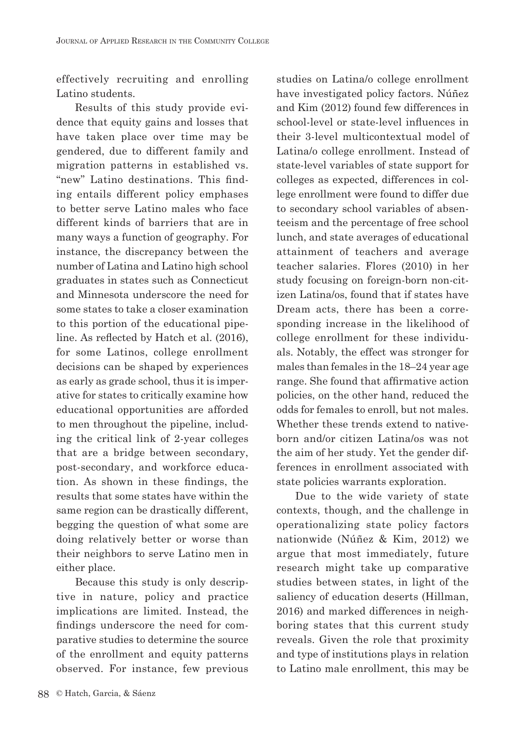effectively recruiting and enrolling Latino students.

Results of this study provide evidence that equity gains and losses that have taken place over time may be gendered, due to different family and migration patterns in established vs. "new" Latino destinations. This finding entails different policy emphases to better serve Latino males who face different kinds of barriers that are in many ways a function of geography. For instance, the discrepancy between the number of Latina and Latino high school graduates in states such as Connecticut and Minnesota underscore the need for some states to take a closer examination to this portion of the educational pipeline. As reflected by Hatch et al. (2016), for some Latinos, college enrollment decisions can be shaped by experiences as early as grade school, thus it is imperative for states to critically examine how educational opportunities are afforded to men throughout the pipeline, including the critical link of 2-year colleges that are a bridge between secondary, post-secondary, and workforce education. As shown in these findings, the results that some states have within the same region can be drastically different, begging the question of what some are doing relatively better or worse than their neighbors to serve Latino men in either place.

Because this study is only descriptive in nature, policy and practice implications are limited. Instead, the findings underscore the need for comparative studies to determine the source of the enrollment and equity patterns observed. For instance, few previous

studies on Latina/o college enrollment have investigated policy factors. Núñez and Kim (2012) found few differences in school-level or state-level influences in their 3-level multicontextual model of Latina/o college enrollment. Instead of state-level variables of state support for colleges as expected, differences in college enrollment were found to differ due to secondary school variables of absenteeism and the percentage of free school lunch, and state averages of educational attainment of teachers and average teacher salaries. Flores (2010) in her study focusing on foreign-born non-citizen Latina/os, found that if states have Dream acts, there has been a corresponding increase in the likelihood of college enrollment for these individuals. Notably, the effect was stronger for males than females in the 18–24 year age range. She found that affirmative action policies, on the other hand, reduced the odds for females to enroll, but not males. Whether these trends extend to nativeborn and/or citizen Latina/os was not the aim of her study. Yet the gender differences in enrollment associated with state policies warrants exploration.

Due to the wide variety of state contexts, though, and the challenge in operationalizing state policy factors nationwide (Núñez & Kim, 2012) we argue that most immediately, future research might take up comparative studies between states, in light of the saliency of education deserts (Hillman, 2016) and marked differences in neighboring states that this current study reveals. Given the role that proximity and type of institutions plays in relation to Latino male enrollment, this may be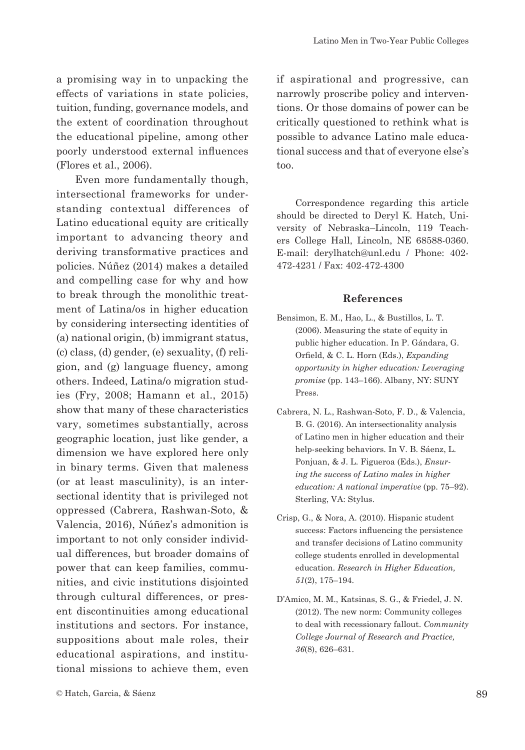a promising way in to unpacking the effects of variations in state policies, tuition, funding, governance models, and the extent of coordination throughout the educational pipeline, among other poorly understood external influences (Flores et al., 2006).

Even more fundamentally though, intersectional frameworks for understanding contextual differences of Latino educational equity are critically important to advancing theory and deriving transformative practices and policies. Núñez (2014) makes a detailed and compelling case for why and how to break through the monolithic treatment of Latina/os in higher education by considering intersecting identities of (a) national origin, (b) immigrant status, (c) class, (d) gender, (e) sexuality, (f) religion, and (g) language fluency, among others. Indeed, Latina/o migration studies (Fry, 2008; Hamann et al., 2015) show that many of these characteristics vary, sometimes substantially, across geographic location, just like gender, a dimension we have explored here only in binary terms. Given that maleness (or at least masculinity), is an intersectional identity that is privileged not oppressed (Cabrera, Rashwan-Soto, & Valencia, 2016), Núñez's admonition is important to not only consider individual differences, but broader domains of power that can keep families, communities, and civic institutions disjointed through cultural differences, or present discontinuities among educational institutions and sectors. For instance, suppositions about male roles, their educational aspirations, and institutional missions to achieve them, even

if aspirational and progressive, can narrowly proscribe policy and interventions. Or those domains of power can be critically questioned to rethink what is possible to advance Latino male educational success and that of everyone else's too.

Correspondence regarding this article should be directed to Deryl K. Hatch, University of Nebraska–Lincoln, 119 Teachers College Hall, Lincoln, NE 68588-0360. E-mail: derylhatch@unl.edu / Phone: 402- 472-4231 / Fax: 402-472-4300

#### **References**

- Bensimon, E. M., Hao, L., & Bustillos, L. T. (2006). Measuring the state of equity in public higher education. In P. Gándara, G. Orfield, & C. L. Horn (Eds.), *Expanding opportunity in higher education: Leveraging promise* (pp. 143–166). Albany, NY: SUNY Press.
- Cabrera, N. L., Rashwan-Soto, F. D., & Valencia, B. G. (2016). An intersectionality analysis of Latino men in higher education and their help-seeking behaviors. In V. B. Sáenz, L. Ponjuan, & J. L. Figueroa (Eds.), *Ensuring the success of Latino males in higher education: A national imperative* (pp. 75–92). Sterling, VA: Stylus.
- Crisp, G., & Nora, A. (2010). Hispanic student success: Factors influencing the persistence and transfer decisions of Latino community college students enrolled in developmental education. *Research in Higher Education, 51*(2), 175–194.
- D'Amico, M. M., Katsinas, S. G., & Friedel, J. N. (2012). The new norm: Community colleges to deal with recessionary fallout. *Community College Journal of Research and Practice, 36*(8), 626–631.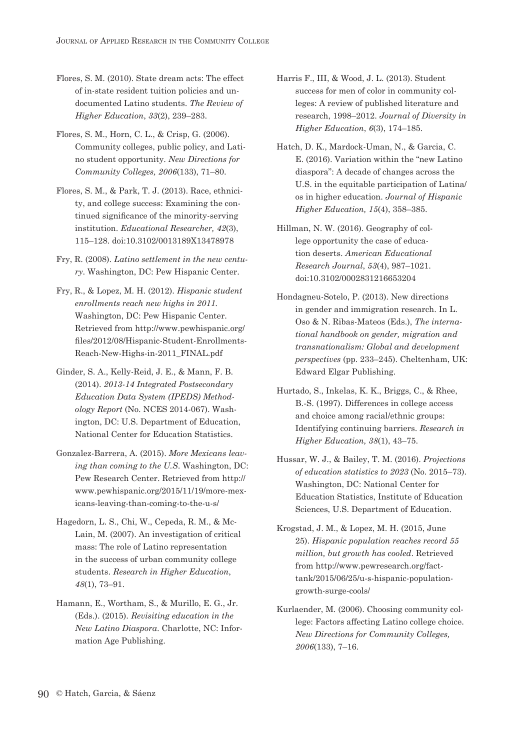- Flores, S. M. (2010). State dream acts: The effect of in-state resident tuition policies and undocumented Latino students. *The Review of Higher Education*, *33*(2), 239–283.
- Flores, S. M., Horn, C. L., & Crisp, G. (2006). Community colleges, public policy, and Latino student opportunity. *New Directions for Community Colleges, 2006*(133), 71–80.
- Flores, S. M., & Park, T. J. (2013). Race, ethnicity, and college success: Examining the continued significance of the minority-serving institution. *Educational Researcher, 42*(3), 115–128. doi:10.3102/0013189X13478978
- Fry, R. (2008). *Latino settlement in the new century*. Washington, DC: Pew Hispanic Center.
- Fry, R., & Lopez, M. H. (2012). *Hispanic student enrollments reach new highs in 2011.*  Washington, DC: Pew Hispanic Center. Retrieved from http://www.pewhispanic.org/ files/2012/08/Hispanic-Student-Enrollments-Reach-New-Highs-in-2011\_FINAL.pdf
- Ginder, S. A., Kelly-Reid, J. E., & Mann, F. B. (2014). *2013-14 Integrated Postsecondary Education Data System (IPEDS) Methodology Report* (No. NCES 2014-067). Washington, DC: U.S. Department of Education, National Center for Education Statistics.
- Gonzalez-Barrera, A. (2015). *More Mexicans leaving than coming to the U.S*. Washington, DC: Pew Research Center. Retrieved from http:// www.pewhispanic.org/2015/11/19/more-mexicans-leaving-than-coming-to-the-u-s/
- Hagedorn, L. S., Chi, W., Cepeda, R. M., & Mc-Lain, M. (2007). An investigation of critical mass: The role of Latino representation in the success of urban community college students. *Research in Higher Education*, *48*(1), 73–91.
- Hamann, E., Wortham, S., & Murillo, E. G., Jr. (Eds.). (2015). *Revisiting education in the New Latino Diaspora*. Charlotte, NC: Information Age Publishing.
- Harris F., III, & Wood, J. L. (2013). Student success for men of color in community colleges: A review of published literature and research, 1998–2012. *Journal of Diversity in Higher Education*, *6*(3), 174–185.
- Hatch, D. K., Mardock-Uman, N., & Garcia, C. E. (2016). Variation within the "new Latino diaspora": A decade of changes across the U.S. in the equitable participation of Latina/ os in higher education. *Journal of Hispanic Higher Education, 15*(4), 358–385.
- Hillman, N. W. (2016). Geography of college opportunity the case of education deserts. *American Educational Research Journal*, *53*(4), 987–1021. doi:10.3102/0002831216653204
- Hondagneu-Sotelo, P. (2013). New directions in gender and immigration research. In L. Oso & N. Ribas-Mateos (Eds.), *The international handbook on gender, migration and transnationalism: Global and development perspectives* (pp. 233–245). Cheltenham, UK: Edward Elgar Publishing.
- Hurtado, S., Inkelas, K. K., Briggs, C., & Rhee, B.-S. (1997). Differences in college access and choice among racial/ethnic groups: Identifying continuing barriers. *Research in Higher Education, 38*(1), 43–75.
- Hussar, W. J., & Bailey, T. M. (2016). *Projections of education statistics to 2023* (No. 2015–73). Washington, DC: National Center for Education Statistics, Institute of Education Sciences, U.S. Department of Education.
- Krogstad, J. M., & Lopez, M. H. (2015, June 25). *Hispanic population reaches record 55 million, but growth has cooled*. Retrieved from http://www.pewresearch.org/facttank/2015/06/25/u-s-hispanic-populationgrowth-surge-cools/
- Kurlaender, M. (2006). Choosing community college: Factors affecting Latino college choice. *New Directions for Community Colleges, 2006*(133), 7–16.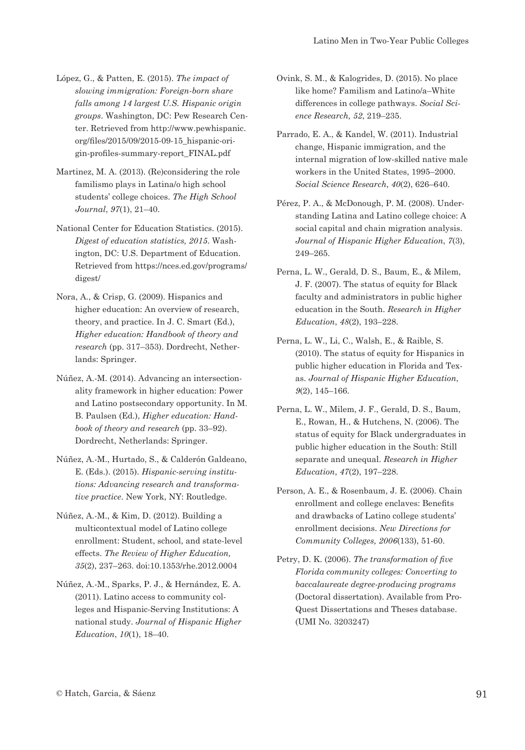- López, G., & Patten, E. (2015). *The impact of slowing immigration: Foreign-born share falls among 14 largest U.S. Hispanic origin groups*. Washington, DC: Pew Research Center. Retrieved from http://www.pewhispanic. org/files/2015/09/2015-09-15\_hispanic-origin-profiles-summary-report\_FINAL.pdf
- Martinez, M. A. (2013). (Re)considering the role familismo plays in Latina/o high school students' college choices. *The High School Journal*, *97*(1), 21–40.
- National Center for Education Statistics. (2015). *Digest of education statistics, 2015*. Washington, DC: U.S. Department of Education. Retrieved from https://nces.ed.gov/programs/ digest/
- Nora, A., & Crisp, G. (2009). Hispanics and higher education: An overview of research, theory, and practice. In J. C. Smart (Ed.), *Higher education: Handbook of theory and research* (pp. 317–353). Dordrecht, Netherlands: Springer.
- Núñez, A.-M. (2014). Advancing an intersectionality framework in higher education: Power and Latino postsecondary opportunity. In M. B. Paulsen (Ed.), *Higher education: Handbook of theory and research* (pp. 33–92). Dordrecht, Netherlands: Springer.
- Núñez, A.-M., Hurtado, S., & Calderón Galdeano, E. (Eds.). (2015). *Hispanic-serving institutions: Advancing research and transformative practice*. New York, NY: Routledge.
- Núñez, A.-M., & Kim, D. (2012). Building a multicontextual model of Latino college enrollment: Student, school, and state-level effects. *The Review of Higher Education, 35*(2), 237–263. doi:10.1353/rhe.2012.0004
- Núñez, A.-M., Sparks, P. J., & Hernández, E. A. (2011). Latino access to community colleges and Hispanic-Serving Institutions: A national study. *Journal of Hispanic Higher Education*, *10*(1), 18–40.
- Ovink, S. M., & Kalogrides, D. (2015). No place like home? Familism and Latino/a–White differences in college pathways. *Social Science Research, 52*, 219–235.
- Parrado, E. A., & Kandel, W. (2011). Industrial change, Hispanic immigration, and the internal migration of low-skilled native male workers in the United States, 1995–2000. *Social Science Research*, *40*(2), 626–640.
- Pérez, P. A., & McDonough, P. M. (2008). Understanding Latina and Latino college choice: A social capital and chain migration analysis. *Journal of Hispanic Higher Education*, *7*(3), 249–265.
- Perna, L. W., Gerald, D. S., Baum, E., & Milem, J. F. (2007). The status of equity for Black faculty and administrators in public higher education in the South. *Research in Higher Education*, *48*(2), 193–228.
- Perna, L. W., Li, C., Walsh, E., & Raible, S. (2010). The status of equity for Hispanics in public higher education in Florida and Texas. *Journal of Hispanic Higher Education*, *9*(2), 145–166.
- Perna, L. W., Milem, J. F., Gerald, D. S., Baum, E., Rowan, H., & Hutchens, N. (2006). The status of equity for Black undergraduates in public higher education in the South: Still separate and unequal. *Research in Higher Education*, *47*(2), 197–228.
- Person, A. E., & Rosenbaum, J. E. (2006). Chain enrollment and college enclaves: Benefits and drawbacks of Latino college students' enrollment decisions. *New Directions for Community Colleges, 2006*(133), 51-60.
- Petry, D. K. (2006). *The transformation of five Florida community colleges: Converting to baccalaureate degree-producing programs* (Doctoral dissertation). Available from Pro-Quest Dissertations and Theses database. (UMI No. 3203247)